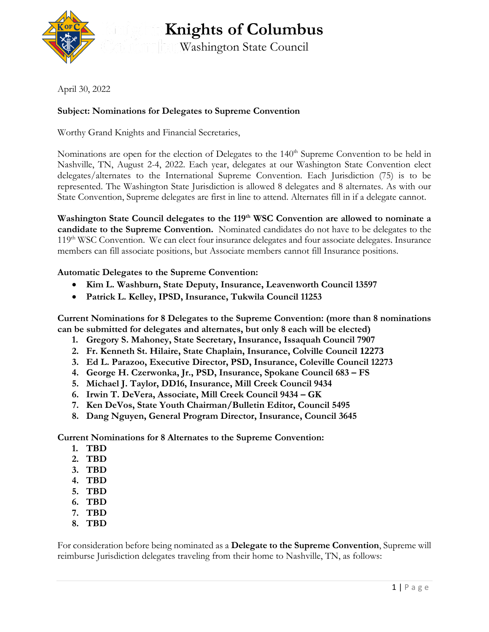

**Knights of Columbus** Washington State Council

April 30, 2022

## **Subject: Nominations for Delegates to Supreme Convention**

Worthy Grand Knights and Financial Secretaries,

Nominations are open for the election of Delegates to the 140<sup>th</sup> Supreme Convention to be held in Nashville, TN, August 2-4, 2022. Each year, delegates at our Washington State Convention elect delegates/alternates to the International Supreme Convention. Each Jurisdiction (75) is to be represented. The Washington State Jurisdiction is allowed 8 delegates and 8 alternates. As with our State Convention, Supreme delegates are first in line to attend. Alternates fill in if a delegate cannot.

**Washington State Council delegates to the 119th WSC Convention are allowed to nominate a candidate to the Supreme Convention.** Nominated candidates do not have to be delegates to the 119<sup>th</sup> WSC Convention. We can elect four insurance delegates and four associate delegates. Insurance members can fill associate positions, but Associate members cannot fill Insurance positions.

## **Automatic Delegates to the Supreme Convention:**

- **Kim L. Washburn, State Deputy, Insurance, Leavenworth Council 13597**
- **Patrick L. Kelley, IPSD, Insurance, Tukwila Council 11253**

**Current Nominations for 8 Delegates to the Supreme Convention: (more than 8 nominations can be submitted for delegates and alternates, but only 8 each will be elected)**

- **1. Gregory S. Mahoney, State Secretary, Insurance, Issaquah Council 7907**
- **2. Fr. Kenneth St. Hilaire, State Chaplain, Insurance, Colville Council 12273**
- **3. Ed L. Parazoo, Executive Director, PSD, Insurance, Coleville Council 12273**
- **4. George H. Czerwonka, Jr., PSD, Insurance, Spokane Council 683 – FS**
- **5. Michael J. Taylor, DD16, Insurance, Mill Creek Council 9434**
- **6. Irwin T. DeVera, Associate, Mill Creek Council 9434 – GK**
- **7. Ken DeVos, State Youth Chairman/Bulletin Editor, Council 5495**
- **8. Dang Nguyen, General Program Director, Insurance, Council 3645**

**Current Nominations for 8 Alternates to the Supreme Convention:**

- **1. TBD**
- **2. TBD**
- **3. TBD**
- **4. TBD**
- **5. TBD**
- **6. TBD**
- **7. TBD**
- **8. TBD**

For consideration before being nominated as a **Delegate to the Supreme Convention**, Supreme will reimburse Jurisdiction delegates traveling from their home to Nashville, TN, as follows: